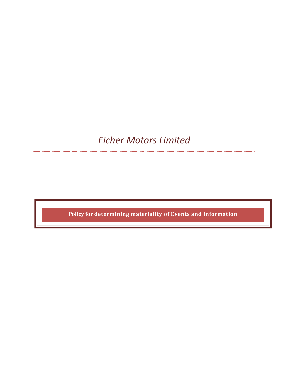# Eicher Motors Limited

......................................

........................

Policy for determining materiality of Events and Information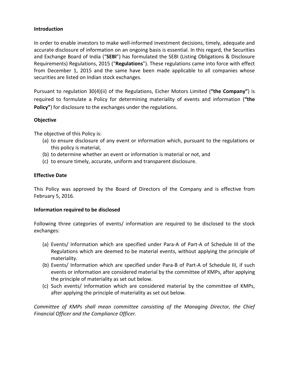#### Introduction

In order to enable investors to make well-informed investment decisions, timely, adequate and accurate disclosure of information on an ongoing basis is essential. In this regard, the Securities and Exchange Board of India ("SEBI") has formulated the SEBI (Listing Obligations & Disclosure Requirements) Regulations, 2015 ("Regulations"). These regulations came into force with effect from December 1, 2015 and the same have been made applicable to all companies whose securities are listed on Indian stock exchanges.

Pursuant to regulation 30(4)(ii) of the Regulations, Eicher Motors Limited ("the Company") is required to formulate a Policy for determining materiality of events and information ("the Policy") for disclosure to the exchanges under the regulations.

### Objective

The objective of this Policy is:

- (a) to ensure disclosure of any event or information which, pursuant to the regulations or this policy is material,
- (b) to determine whether an event or information is material or not, and
- (c) to ensure timely, accurate, uniform and transparent disclosure.

## Effective Date

This Policy was approved by the Board of Directors of the Company and is effective from February 5, 2016.

#### Information required to be disclosed

Following three categories of events/ information are required to be disclosed to the stock exchanges:

- (a) Events/ Information which are specified under Para-A of Part-A of Schedule III of the Regulations which are deemed to be material events, without applying the principle of materiality.
- (b) Events/ Information which are specified under Para-B of Part-A of Schedule III, if such events or information are considered material by the committee of KMPs, after applying the principle of materiality as set out below.
- (c) Such events/ information which are considered material by the committee of KMPs, after applying the principle of materiality as set out below.

Committee of KMPs shall mean committee consisting of the Managing Director, the Chief Financial Officer and the Compliance Officer.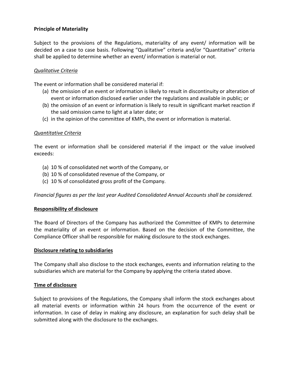## Principle of Materiality

Subject to the provisions of the Regulations, materiality of any event/ information will be decided on a case to case basis. Following "Qualitative" criteria and/or "Quantitative" criteria shall be applied to determine whether an event/ information is material or not.

#### Qualitative Criteria

The event or information shall be considered material if:

- (a) the omission of an event or information is likely to result in discontinuity or alteration of event or information disclosed earlier under the regulations and available in public; or
- (b) the omission of an event or information is likely to result in significant market reaction if the said omission came to light at a later date; or
- (c) in the opinion of the committee of KMPs, the event or information is material.

#### Quantitative Criteria

The event or information shall be considered material if the impact or the value involved exceeds:

- (a) 10 % of consolidated net worth of the Company, or
- (b) 10 % of consolidated revenue of the Company, or
- (c) 10 % of consolidated gross profit of the Company.

Financial figures as per the last year Audited Consolidated Annual Accounts shall be considered.

#### Responsibility of disclosure

The Board of Directors of the Company has authorized the Committee of KMPs to determine the materiality of an event or information. Based on the decision of the Committee, the Compliance Officer shall be responsible for making disclosure to the stock exchanges.

#### Disclosure relating to subsidiaries

The Company shall also disclose to the stock exchanges, events and information relating to the subsidiaries which are material for the Company by applying the criteria stated above.

#### Time of disclosure

Subject to provisions of the Regulations, the Company shall inform the stock exchanges about all material events or information within 24 hours from the occurrence of the event or information. In case of delay in making any disclosure, an explanation for such delay shall be submitted along with the disclosure to the exchanges.